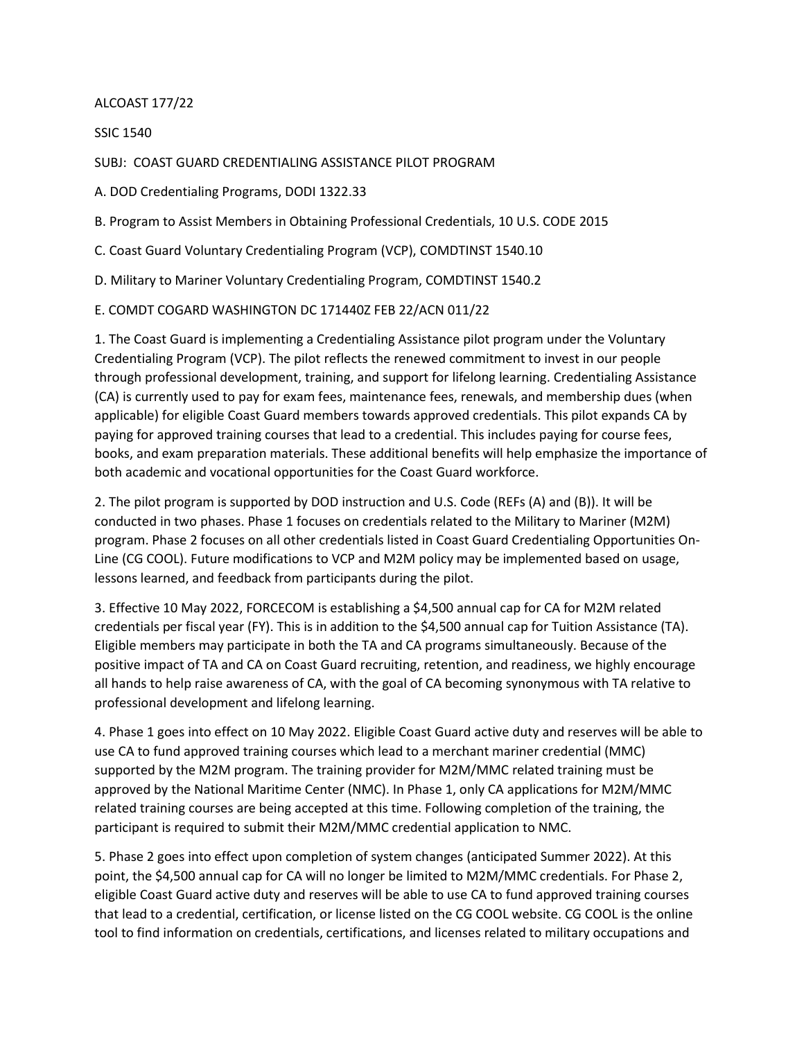## ALCOAST 177/22

SSIC 1540

SUBJ: COAST GUARD CREDENTIALING ASSISTANCE PILOT PROGRAM

A. DOD Credentialing Programs, DODI 1322.33

B. Program to Assist Members in Obtaining Professional Credentials, 10 U.S. CODE 2015

C. Coast Guard Voluntary Credentialing Program (VCP), COMDTINST 1540.10

D. Military to Mariner Voluntary Credentialing Program, COMDTINST 1540.2

E. COMDT COGARD WASHINGTON DC 171440Z FEB 22/ACN 011/22

1. The Coast Guard is implementing a Credentialing Assistance pilot program under the Voluntary Credentialing Program (VCP). The pilot reflects the renewed commitment to invest in our people through professional development, training, and support for lifelong learning. Credentialing Assistance (CA) is currently used to pay for exam fees, maintenance fees, renewals, and membership dues (when applicable) for eligible Coast Guard members towards approved credentials. This pilot expands CA by paying for approved training courses that lead to a credential. This includes paying for course fees, books, and exam preparation materials. These additional benefits will help emphasize the importance of both academic and vocational opportunities for the Coast Guard workforce.

2. The pilot program is supported by DOD instruction and U.S. Code (REFs (A) and (B)). It will be conducted in two phases. Phase 1 focuses on credentials related to the Military to Mariner (M2M) program. Phase 2 focuses on all other credentials listed in Coast Guard Credentialing Opportunities On-Line (CG COOL). Future modifications to VCP and M2M policy may be implemented based on usage, lessons learned, and feedback from participants during the pilot.

3. Effective 10 May 2022, FORCECOM is establishing a \$4,500 annual cap for CA for M2M related credentials per fiscal year (FY). This is in addition to the \$4,500 annual cap for Tuition Assistance (TA). Eligible members may participate in both the TA and CA programs simultaneously. Because of the positive impact of TA and CA on Coast Guard recruiting, retention, and readiness, we highly encourage all hands to help raise awareness of CA, with the goal of CA becoming synonymous with TA relative to professional development and lifelong learning.

4. Phase 1 goes into effect on 10 May 2022. Eligible Coast Guard active duty and reserves will be able to use CA to fund approved training courses which lead to a merchant mariner credential (MMC) supported by the M2M program. The training provider for M2M/MMC related training must be approved by the National Maritime Center (NMC). In Phase 1, only CA applications for M2M/MMC related training courses are being accepted at this time. Following completion of the training, the participant is required to submit their M2M/MMC credential application to NMC.

5. Phase 2 goes into effect upon completion of system changes (anticipated Summer 2022). At this point, the \$4,500 annual cap for CA will no longer be limited to M2M/MMC credentials. For Phase 2, eligible Coast Guard active duty and reserves will be able to use CA to fund approved training courses that lead to a credential, certification, or license listed on the CG COOL website. CG COOL is the online tool to find information on credentials, certifications, and licenses related to military occupations and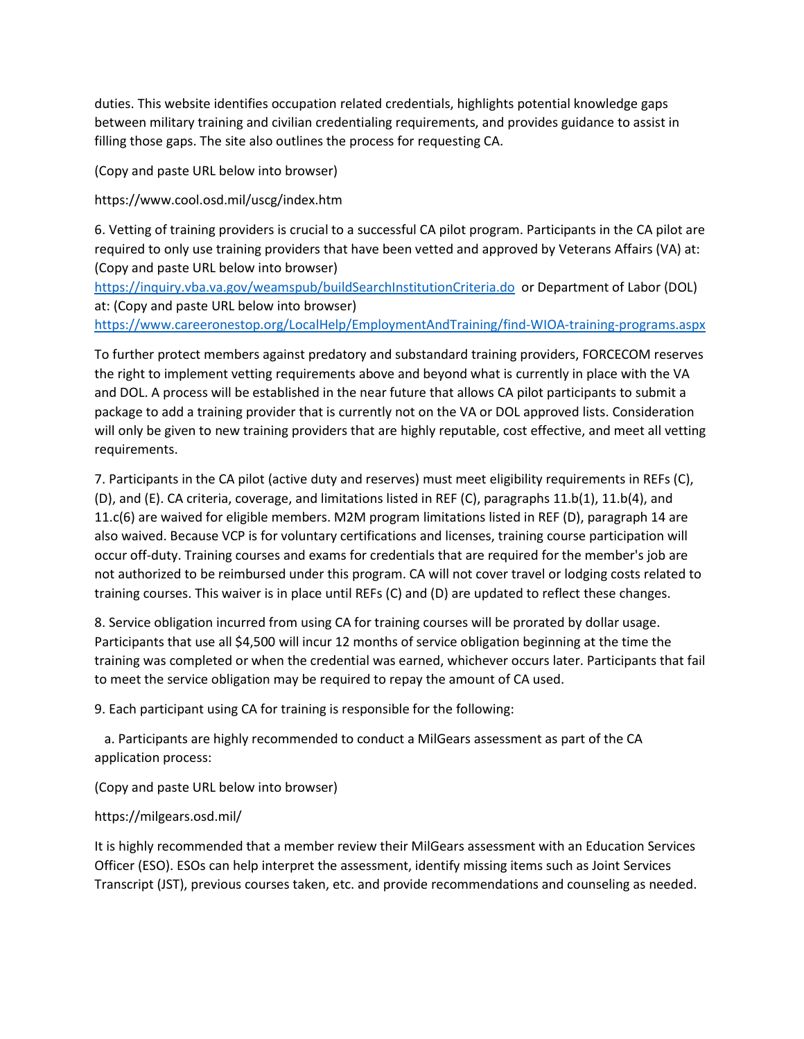duties. This website identifies occupation related credentials, highlights potential knowledge gaps between military training and civilian credentialing requirements, and provides guidance to assist in filling those gaps. The site also outlines the process for requesting CA.

(Copy and paste URL below into browser)

https://www.cool.osd.mil/uscg/index.htm

6. Vetting of training providers is crucial to a successful CA pilot program. Participants in the CA pilot are required to only use training providers that have been vetted and approved by Veterans Affairs (VA) at: (Copy and paste URL below into browser)

<https://inquiry.vba.va.gov/weamspub/buildSearchInstitutionCriteria.do>or Department of Labor (DOL) at: (Copy and paste URL below into browser) <https://www.careeronestop.org/LocalHelp/EmploymentAndTraining/find-WIOA-training-programs.aspx>

To further protect members against predatory and substandard training providers, FORCECOM reserves the right to implement vetting requirements above and beyond what is currently in place with the VA and DOL. A process will be established in the near future that allows CA pilot participants to submit a package to add a training provider that is currently not on the VA or DOL approved lists. Consideration will only be given to new training providers that are highly reputable, cost effective, and meet all vetting requirements.

7. Participants in the CA pilot (active duty and reserves) must meet eligibility requirements in REFs (C), (D), and (E). CA criteria, coverage, and limitations listed in REF (C), paragraphs 11.b(1), 11.b(4), and 11.c(6) are waived for eligible members. M2M program limitations listed in REF (D), paragraph 14 are also waived. Because VCP is for voluntary certifications and licenses, training course participation will occur off-duty. Training courses and exams for credentials that are required for the member's job are not authorized to be reimbursed under this program. CA will not cover travel or lodging costs related to training courses. This waiver is in place until REFs (C) and (D) are updated to reflect these changes.

8. Service obligation incurred from using CA for training courses will be prorated by dollar usage. Participants that use all \$4,500 will incur 12 months of service obligation beginning at the time the training was completed or when the credential was earned, whichever occurs later. Participants that fail to meet the service obligation may be required to repay the amount of CA used.

9. Each participant using CA for training is responsible for the following:

 a. Participants are highly recommended to conduct a MilGears assessment as part of the CA application process:

(Copy and paste URL below into browser)

```
https://milgears.osd.mil/
```
It is highly recommended that a member review their MilGears assessment with an Education Services Officer (ESO). ESOs can help interpret the assessment, identify missing items such as Joint Services Transcript (JST), previous courses taken, etc. and provide recommendations and counseling as needed.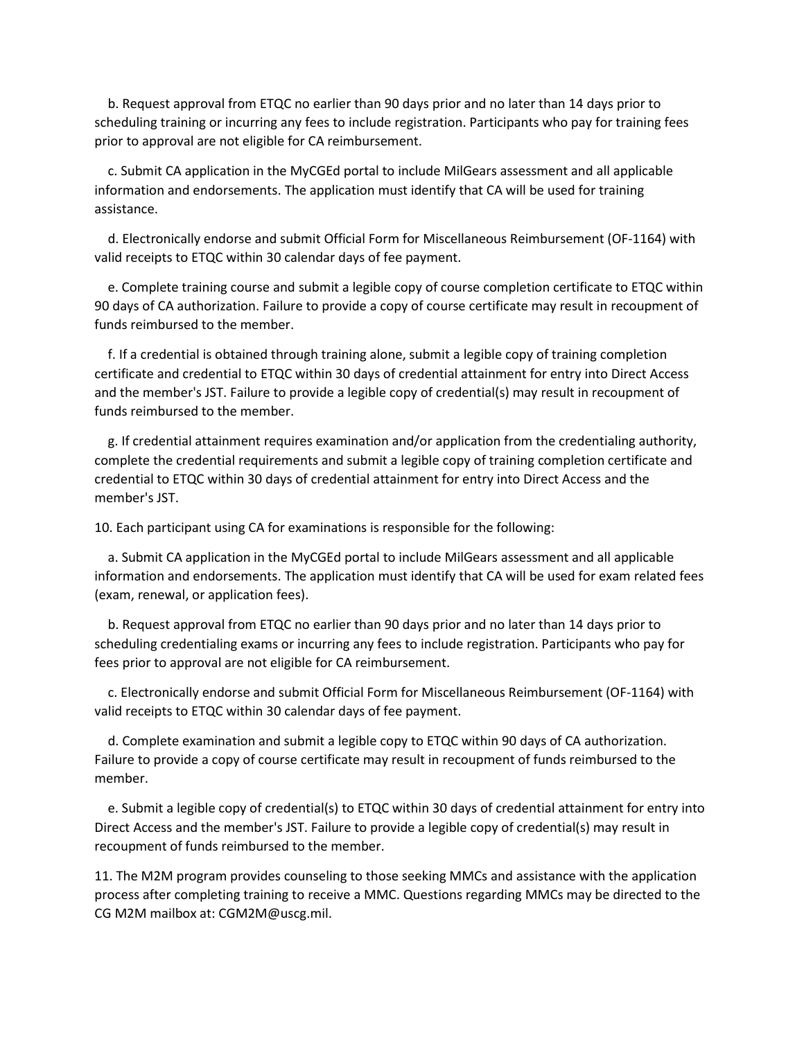b. Request approval from ETQC no earlier than 90 days prior and no later than 14 days prior to scheduling training or incurring any fees to include registration. Participants who pay for training fees prior to approval are not eligible for CA reimbursement.

 c. Submit CA application in the MyCGEd portal to include MilGears assessment and all applicable information and endorsements. The application must identify that CA will be used for training assistance.

 d. Electronically endorse and submit Official Form for Miscellaneous Reimbursement (OF-1164) with valid receipts to ETQC within 30 calendar days of fee payment.

 e. Complete training course and submit a legible copy of course completion certificate to ETQC within 90 days of CA authorization. Failure to provide a copy of course certificate may result in recoupment of funds reimbursed to the member.

 f. If a credential is obtained through training alone, submit a legible copy of training completion certificate and credential to ETQC within 30 days of credential attainment for entry into Direct Access and the member's JST. Failure to provide a legible copy of credential(s) may result in recoupment of funds reimbursed to the member.

 g. If credential attainment requires examination and/or application from the credentialing authority, complete the credential requirements and submit a legible copy of training completion certificate and credential to ETQC within 30 days of credential attainment for entry into Direct Access and the member's JST.

10. Each participant using CA for examinations is responsible for the following:

 a. Submit CA application in the MyCGEd portal to include MilGears assessment and all applicable information and endorsements. The application must identify that CA will be used for exam related fees (exam, renewal, or application fees).

 b. Request approval from ETQC no earlier than 90 days prior and no later than 14 days prior to scheduling credentialing exams or incurring any fees to include registration. Participants who pay for fees prior to approval are not eligible for CA reimbursement.

 c. Electronically endorse and submit Official Form for Miscellaneous Reimbursement (OF-1164) with valid receipts to ETQC within 30 calendar days of fee payment.

 d. Complete examination and submit a legible copy to ETQC within 90 days of CA authorization. Failure to provide a copy of course certificate may result in recoupment of funds reimbursed to the member.

 e. Submit a legible copy of credential(s) to ETQC within 30 days of credential attainment for entry into Direct Access and the member's JST. Failure to provide a legible copy of credential(s) may result in recoupment of funds reimbursed to the member.

11. The M2M program provides counseling to those seeking MMCs and assistance with the application process after completing training to receive a MMC. Questions regarding MMCs may be directed to the CG M2M mailbox at: CGM2M@uscg.mil.